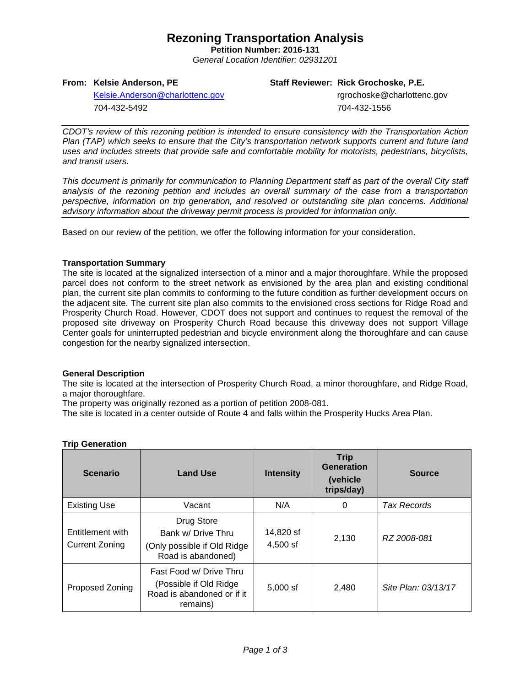## **Rezoning Transportation Analysis**

**Petition Number: 2016-131** *General Location Identifier: 02931201*

## **From: Kelsie Anderson, PE**

#### **Staff Reviewer: Rick Grochoske, P.E.**

[Kelsie.Anderson@charlottenc.gov](mailto:Kelsie.Anderson@charlottenc.gov) 704-432-5492

 rgrochoske@charlottenc.gov 704-432-1556

*CDOT's review of this rezoning petition is intended to ensure consistency with the Transportation Action Plan (TAP) which seeks to ensure that the City's transportation network supports current and future land uses and includes streets that provide safe and comfortable mobility for motorists, pedestrians, bicyclists, and transit users.*

*This document is primarily for communication to Planning Department staff as part of the overall City staff analysis of the rezoning petition and includes an overall summary of the case from a transportation perspective, information on trip generation, and resolved or outstanding site plan concerns. Additional advisory information about the driveway permit process is provided for information only.*

Based on our review of the petition, we offer the following information for your consideration.

## **Transportation Summary**

The site is located at the signalized intersection of a minor and a major thoroughfare. While the proposed parcel does not conform to the street network as envisioned by the area plan and existing conditional plan, the current site plan commits to conforming to the future condition as further development occurs on the adjacent site. The current site plan also commits to the envisioned cross sections for Ridge Road and Prosperity Church Road. However, CDOT does not support and continues to request the removal of the proposed site driveway on Prosperity Church Road because this driveway does not support Village Center goals for uninterrupted pedestrian and bicycle environment along the thoroughfare and can cause congestion for the nearby signalized intersection.

## **General Description**

The site is located at the intersection of Prosperity Church Road, a minor thoroughfare, and Ridge Road, a major thoroughfare.

The property was originally rezoned as a portion of petition 2008-081.

The site is located in a center outside of Route 4 and falls within the Prosperity Hucks Area Plan.

| <b>Scenario</b>                    | <b>Land Use</b>                                                                              | <b>Intensity</b>      | <b>Trip</b><br>Generation<br>(vehicle)<br>trips/day) | <b>Source</b>       |
|------------------------------------|----------------------------------------------------------------------------------------------|-----------------------|------------------------------------------------------|---------------------|
| <b>Existing Use</b>                | Vacant                                                                                       | N/A                   | 0                                                    | Tax Records         |
| Entitlement with<br>Current Zoning | Drug Store<br>Bank w/ Drive Thru<br>(Only possible if Old Ridge)<br>Road is abandoned)       | 14,820 sf<br>4,500 sf | 2,130                                                | RZ 2008-081         |
| Proposed Zoning                    | Fast Food w/ Drive Thru<br>(Possible if Old Ridge)<br>Road is abandoned or if it<br>remains) | $5,000$ sf            | 2,480                                                | Site Plan: 03/13/17 |

## **Trip Generation**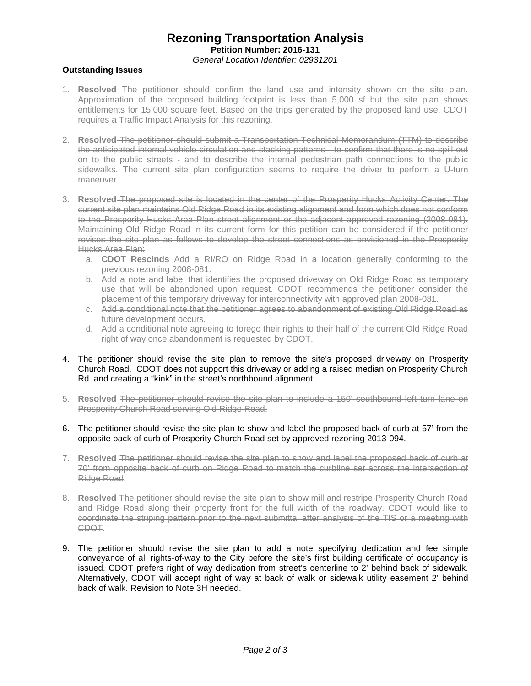## **Rezoning Transportation Analysis Petition Number: 2016-131** *General Location Identifier: 02931201*

## **Outstanding Issues**

- 1. **Resolved** The petitioner should confirm the land use and intensity shown on the site plan. Approximation of the proposed building footprint is less than 5,000 sf but the site plan shows entitlements for 15,000 square feet. Based on the trips generated by the proposed land use, CDOT requires a Traffic Impact Analysis for this rezoning.
- 2. **Resolved** The petitioner should submit a Transportation Technical Memorandum (TTM) to describe the anticipated internal vehicle circulation and stacking patterns - to confirm that there is no spill out on to the public streets - and to describe the internal pedestrian path connections to the public sidewalks. The current site plan configuration seems to require the driver to perform a U-turn maneuver.
- 3. **Resolved** The proposed site is located in the center of the Prosperity Hucks Activity Center. The current site plan maintains Old Ridge Road in its existing alignment and form which does not conform to the Prosperity Hucks Area Plan street alignment or the adjacent approved rezoning (2008-081). Maintaining Old Ridge Road in its current form for this petition can be considered if the petitioner revises the site plan as follows to develop the street connections as envisioned in the Prosperity Hucks Area Plan:
	- a. **CDOT Rescinds** Add a RI/RO on Ridge Road in a location generally conforming to the previous rezoning 2008-081.
	- b. Add a note and label that identifies the proposed driveway on Old Ridge Road as temporary use that will be abandoned upon request. CDOT recommends the petitioner consider the placement of this temporary driveway for interconnectivity with approved plan 2008-081.
	- c. Add a conditional note that the petitioner agrees to abandonment of existing Old Ridge Road as future development occurs.
	- d. Add a conditional note agreeing to forego their rights to their half of the current Old Ridge Road right of way once abandonment is requested by CDOT.
- 4. The petitioner should revise the site plan to remove the site's proposed driveway on Prosperity Church Road. CDOT does not support this driveway or adding a raised median on Prosperity Church Rd. and creating a "kink" in the street's northbound alignment.
- 5. **Resolved** The petitioner should revise the site plan to include a 150' southbound left turn lane on Prosperity Church Road serving Old Ridge Road.
- 6. The petitioner should revise the site plan to show and label the proposed back of curb at 57' from the opposite back of curb of Prosperity Church Road set by approved rezoning 2013-094.
- 7. **Resolved** The petitioner should revise the site plan to show and label the proposed back of curb at 70' from opposite back of curb on Ridge Road to match the curbline set across the intersection of Ridge Road.
- 8. **Resolved** The petitioner should revise the site plan to show mill and restripe Prosperity Church Road and Ridge Road along their property front for the full width of the roadway. CDOT would like to coordinate the striping pattern prior to the next submittal after analysis of the TIS or a meeting with CDOT.
- 9. The petitioner should revise the site plan to add a note specifying dedication and fee simple conveyance of all rights-of-way to the City before the site's first building certificate of occupancy is issued. CDOT prefers right of way dedication from street's centerline to 2' behind back of sidewalk. Alternatively, CDOT will accept right of way at back of walk or sidewalk utility easement 2' behind back of walk. Revision to Note 3H needed.